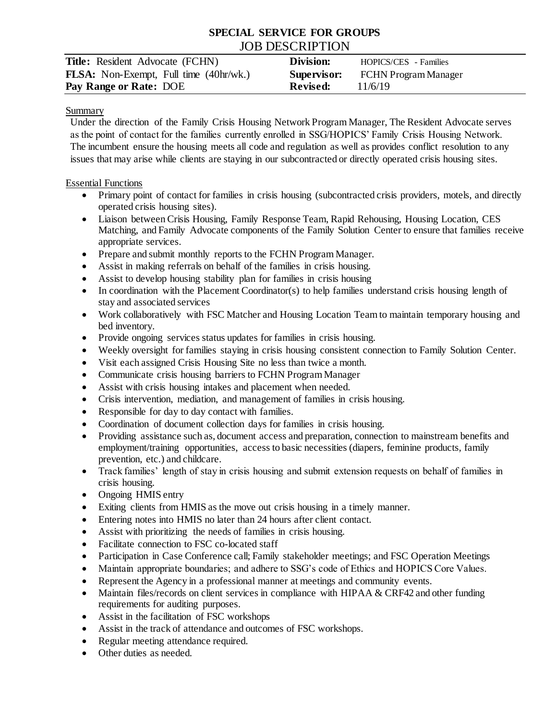# **SPECIAL SERVICE FOR GROUPS** JOB DESCRIPTION

| <b>Title:</b> Resident Advocate (FCHN)        | Division:       | HOPICS/CES - Families                   |
|-----------------------------------------------|-----------------|-----------------------------------------|
| <b>FLSA:</b> Non-Exempt, Full time (40hr/wk.) |                 | <b>Supervisor:</b> FCHN Program Manager |
| Pay Range or Rate: DOE                        | <b>Revised:</b> | 11/6/19                                 |

#### Summary

Under the direction of the Family Crisis Housing Network Program Manager, The Resident Advocate serves as the point of contact for the families currently enrolled in SSG/HOPICS' Family Crisis Housing Network. The incumbent ensure the housing meets all code and regulation as well as provides conflict resolution to any issues that may arise while clients are staying in our subcontracted or directly operated crisis housing sites.

## Essential Functions

- Primary point of contact for families in crisis housing (subcontracted crisis providers, motels, and directly operated crisis housing sites).
- Liaison between Crisis Housing, Family Response Team, Rapid Rehousing, Housing Location, CES Matching, and Family Advocate components of the Family Solution Center to ensure that families receive appropriate services.
- Prepare and submit monthly reports to the FCHN Program Manager.
- Assist in making referrals on behalf of the families in crisis housing.
- Assist to develop housing stability plan for families in crisis housing
- In coordination with the Placement Coordinator(s) to help families understand crisis housing length of stay and associated services
- Work collaboratively with FSC Matcher and Housing Location Team to maintain temporary housing and bed inventory.
- Provide ongoing services status updates for families in crisis housing.
- Weekly oversight for families staying in crisis housing consistent connection to Family Solution Center.
- Visit each assigned Crisis Housing Site no less than twice a month.
- Communicate crisis housing barriers to FCHN Program Manager
- Assist with crisis housing intakes and placement when needed.
- Crisis intervention, mediation, and management of families in crisis housing.
- Responsible for day to day contact with families.
- Coordination of document collection days for families in crisis housing.
- Providing assistance such as, document access and preparation, connection to mainstream benefits and employment/training opportunities, access to basic necessities (diapers, feminine products, family prevention, etc.) and childcare.
- Track families' length of stay in crisis housing and submit extension requests on behalf of families in crisis housing.
- Ongoing HMIS entry
- Exiting clients from HMIS as the move out crisis housing in a timely manner.
- Entering notes into HMIS no later than 24 hours after client contact.
- Assist with prioritizing the needs of families in crisis housing.
- Facilitate connection to FSC co-located staff
- Participation in Case Conference call; Family stakeholder meetings; and FSC Operation Meetings
- Maintain appropriate boundaries; and adhere to SSG's code of Ethics and HOPICS Core Values.
- Represent the Agency in a professional manner at meetings and community events.
- Maintain files/records on client services in compliance with HIPAA & CRF42 and other funding requirements for auditing purposes.
- Assist in the facilitation of FSC workshops
- Assist in the track of attendance and outcomes of FSC workshops.
- Regular meeting attendance required.
- Other duties as needed.